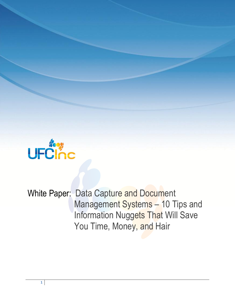

White Paper: Data Capture and Document Management Systems - 10 Tips and Information Nuggets That Will Save You Time, Money, and Hair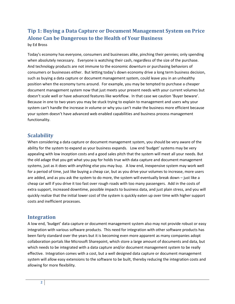# **Tip 1: Buying a Data Capture or Document Management System on Price Alone Can be Dangerous to the Health of Your Business**

by Ed Bross

Today's economy has everyone, consumers and businesses alike, pinching their pennies; only spending when absolutely necessary. Everyone is watching their cash, regardless of the size of the purchase. And technology products are not immune to the economic downturn or purchasing behaviors of consumers or businesses either. But letting today's down economy drive a long term business decision, such as buying a data capture or document management system, could leave you in an unhealthy position when the economy turns around. For example, you may be tempted to purchase a cheaper document management system now that just meets your present needs with your current volumes but doesn't scale well or have advanced features like workflow. In that case we caution 'Buyer beware'. Because in one to two years you may be stuck trying to explain to management and users why your system can't handle the increase in volume or why you can't make the business more efficient because your system doesn't have advanced web enabled capabilities and business process management functionality.

# **Scalability**

When considering a data capture or document management system, you should be very aware of the ability for the system to expand as your business expands. Low end 'budget' systems may be very appealing with low inception costs and a good sales pitch that the system will meet all your needs. But the old adage that you get what you pay for holds true with data capture and document management systems, just as it does with anything else you may buy. A low end, inexpensive system may work well for a period of time, just like buying a cheap car, but as you drive your volumes to increase, more users are added, and as you ask the system to do more, the system will eventually break down – just like a cheap car will if you drive it too fast over rough roads with too many passengers. Add in the costs of extra support, increased downtime, possible impacts to business data, and just plain stress, and you will quickly realize that the initial lower cost of the system is quickly eaten up over time with higher support costs and inefficient processes.

### **Integration**

A low end, 'budget' data capture or document management system also may not provide robust or easy integration with various software products. This need for integration with other software products has been fairly standard over the years but it is becoming even more apparent as many companies adopt collaboration portals like Microsoft Sharepoint, which store a large amount of documents and data, but which needs to be integrated with a data capture and/or document management system to be really effective. Integration comes with a cost, but a well designed data capture or document management system will allow easy extensions to the software to be built, thereby reducing the integration costs and allowing for more flexibility.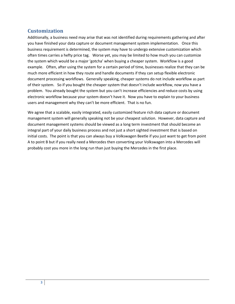## **Customization**

Additionally, a business need may arise that was not identified during requirements gathering and after you have finished your data capture or document management system implementation. Once this business requirement is determined, the system may have to undergo extensive customization which often times carries a hefty price tag. Worse yet, you may be limited to how much you can customize the system which would be a major 'gotcha' when buying a cheaper system. Workflow is a good example. Often, after using the system for a certain period of time, businesses realize that they can be much more efficient in how they route and handle documents if they can setup flexible electronic document processing workflows. Generally speaking, cheaper systems do not include workflow as part of their system. So if you bought the cheaper system that doesn't include workflow, now you have a problem. You already bought the system but you can't increase efficiencies and reduce costs by using electronic workflow because your system doesn't have it. Now you have to explain to your business users and management why they can't be more efficient. That is no fun.

We agree that a scalable, easily integrated, easily customized feature rich data capture or document management system will generally speaking not be your cheapest solution. However, data capture and document management systems should be viewed as a long term investment that should become an integral part of your daily business process and not just a short sighted investment that is based on initial costs. The point is that you can always buy a Volkswagen Beetle if you just want to get from point A to point B but if you really need a Mercedes then converting your Volkswagen into a Mercedes will probably cost you more in the long run than just buying the Mercedes in the first place.